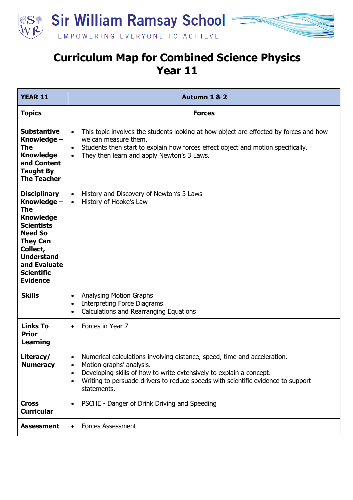



| <b>YEAR 11</b>                                                                                                                                                                                                   | Autumn 1 & 2                                                                                                                                                                                                                                                                                                                       |
|------------------------------------------------------------------------------------------------------------------------------------------------------------------------------------------------------------------|------------------------------------------------------------------------------------------------------------------------------------------------------------------------------------------------------------------------------------------------------------------------------------------------------------------------------------|
| <b>Topics</b>                                                                                                                                                                                                    | <b>Forces</b>                                                                                                                                                                                                                                                                                                                      |
| <b>Substantive</b><br>Knowledge -<br>The<br><b>Knowledge</b><br>and Content<br><b>Taught By</b><br><b>The Teacher</b>                                                                                            | This topic involves the students looking at how object are effected by forces and how<br>$\bullet$<br>we can measure them.<br>Students then start to explain how forces effect object and motion specifically.<br>$\bullet$<br>They then learn and apply Newton's 3 Laws.<br>$\bullet$                                             |
| <b>Disciplinary</b><br>Knowledge -<br>The<br><b>Knowledge</b><br><b>Scientists</b><br><b>Need So</b><br><b>They Can</b><br>Collect,<br><b>Understand</b><br>and Evaluate<br><b>Scientific</b><br><b>Evidence</b> | History and Discovery of Newton's 3 Laws<br>$\bullet$<br>History of Hooke's Law<br>$\bullet$                                                                                                                                                                                                                                       |
| <b>Skills</b>                                                                                                                                                                                                    | <b>Analysing Motion Graphs</b><br>$\bullet$<br><b>Interpreting Force Diagrams</b><br>$\bullet$<br>Calculations and Rearranging Equations<br>$\bullet$                                                                                                                                                                              |
| <b>Links To</b><br><b>Prior</b><br><b>Learning</b>                                                                                                                                                               | Forces in Year 7<br>$\bullet$                                                                                                                                                                                                                                                                                                      |
| Literacy/<br><b>Numeracy</b>                                                                                                                                                                                     | Numerical calculations involving distance, speed, time and acceleration.<br>$\bullet$<br>Motion graphs' analysis.<br>$\bullet$<br>Developing skills of how to write extensively to explain a concept.<br>$\bullet$<br>Writing to persuade drivers to reduce speeds with scientific evidence to support<br>$\bullet$<br>statements. |
| <b>Cross</b><br><b>Curricular</b>                                                                                                                                                                                | PSCHE - Danger of Drink Driving and Speeding<br>$\bullet$                                                                                                                                                                                                                                                                          |
| <b>Assessment</b>                                                                                                                                                                                                | <b>Forces Assessment</b><br>$\bullet$                                                                                                                                                                                                                                                                                              |